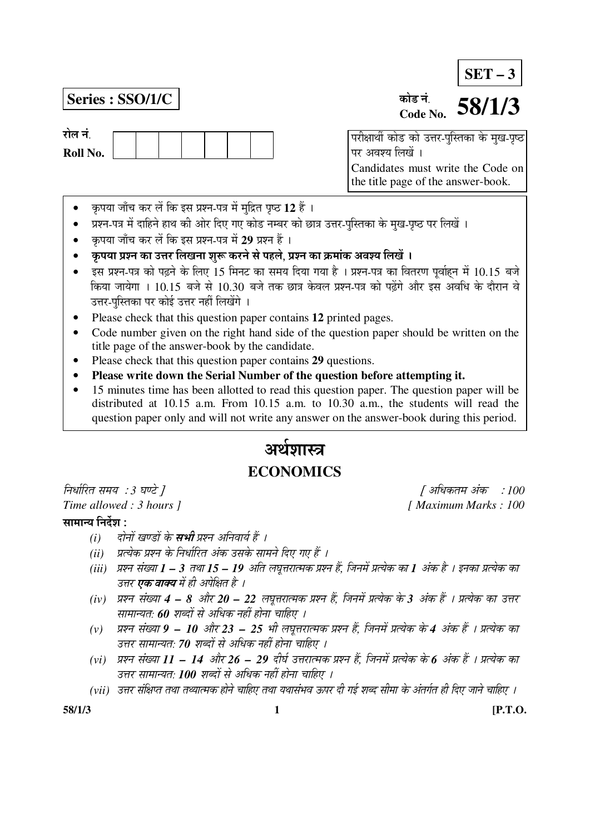# **SET – 3**

## **Series : SSO/1/C**

रोल नं



#### कोड नं **Code No. 58/1/3**

 $\overline{a}$ परीक्षार्थी कोड को उत्तर-पुस्तिका के मुख-पृष्ठ पर अवश्य लिखें । Candidates must write the Code on the title page of the answer-book.

- कृपया जाँच कर लें कि इस प्रश्न-पत्र में मुद्रित पृष्ठ 12 हैं ।
- प्रश्न-पत्र में दाहिने हाथ की ओर दिए गए कोड नम्बर को छात्र उत्तर-पुस्तिका के मुख-पृष्ठ पर लिखें ।
- कृपया जाँच कर लें कि इस प्रश्न-पत्र में 29 प्रश्न हैं ।
- ँ कृपया प्रश्न का उत्तर लिखना शुरू करने से पहले. प्रश्न का क्रमांक अवश्य लिखें ।
- इस प्रश्न-पत्र को पढ़ने के लिए 15 मिनट का समय दिया गया है । प्रश्न-पत्र का वितरण पूर्वाहन में 10.15 बजे किया जायेगा । 10.15 बजे से 10.30 बजे तक छात्र केवल प्रश्न-पत्र को पढेंगे और इस अवधि के दौरान वे उत्तर-पस्तिका पर कोई उत्तर नहीं लिखेंगे ।
- Please check that this question paper contains **12** printed pages.
- Code number given on the right hand side of the question paper should be written on the title page of the answer-book by the candidate.
- Please check that this question paper contains **29** questions.
- **Please write down the Serial Number of the question before attempting it.**
- 15 minutes time has been allotted to read this question paper. The question paper will be distributed at 10.15 a.m. From 10.15 a.m. to 10.30 a.m., the students will read the question paper only and will not write any answer on the answer-book during this period.

# अर्थशास्त्र **ECONOMICS**

×®Ö¬ÖÖÔ׸üŸÖ ÃÖ´ÖµÖ : *3* 'ÖÞ™êü ] [ †×¬ÖÛúŸÖ´Ö †ÓÛú : *100* 

### सामान्य निर्देश $\,$ :

- *(i) दोनों खण्डों के सभी प्रश्न अनिवार्य हैं ।*
- *(ii) प्रत्येक प्रश्न के निर्धारित अंक उसके सामने दिए गए हैं ।*
- *(iii) प्रश्न संख्या 1 3 तथा 15 19 अति लघुत्तरात्मक प्रश्न हैं, जिनमें प्रत्येक का 1 अंक है । इनका प्रत्येक का* उत्तर **एक वाक्य** में ही अपेक्षित है ।
- *(iv) प्रश्न संख्या 4 8 और 20 22 लघुत्तरात्मक प्रश्न हैं, जिनमें प्रत्येक के 3 अंक हैं । प्रत्येक का उत्तर* <u>सामान्यतः 60 शब्दों से अधिक नहीं होना चाहिए ।</u>
- (v) प्रश्न संख्या **9 10** और 23 25 भी लघूत्तरात्मक प्रश्न हैं, जिनमें प्रत्येक के 4 अंक हैं । प्रत्येक का उत्तर सामान्यत: 70 शब्दों से अधिक नहीं होना चाहिए ।
- (vi) प्रश्न संख्या 11 14 और 26 29 दीर्घ उत्तरात्मक प्रश्न हैं, जिनमें प्रत्येक के 6 अंक हैं । प्रत्येक का उत्तर सामान्यत: **100** शब्दों से अधिक नहीं होना चाहिए ।
- (vii) उत्तर संक्षिप्त तथा तथ्यात्मक होने चाहिए तथा यथासंभव ऊपर दी गई शब्द सीमा के अंतर्गत ही दिए जाने चाहिए ।

*Time allowed : 3 hours ]* [ *Maximum Marks : 100* 

**58/1/3 1 [P.T.O.**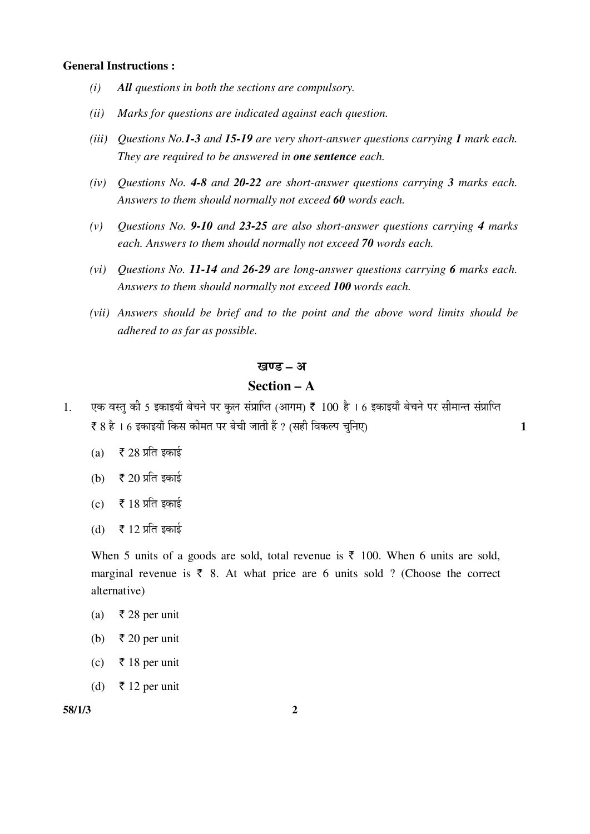#### **General Instructions :**

- *(i) All questions in both the sections are compulsory.*
- *(ii) Marks for questions are indicated against each question.*
- *(iii) Questions No.1-3 and 15-19 are very short-answer questions carrying 1 mark each. They are required to be answered in one sentence each.*
- *(iv) Questions No. 4-8 and 20-22 are short-answer questions carrying 3 marks each. Answers to them should normally not exceed 60 words each.*
- *(v) Questions No. 9-10 and 23-25 are also short-answer questions carrying 4 marks each. Answers to them should normally not exceed 70 words each.*
- *(vi) Questions No. 11-14 and 26-29 are long-answer questions carrying 6 marks each. Answers to them should normally not exceed 100 words each.*
- *(vii) Answers should be brief and to the point and the above word limits should be adhered to as far as possible.*

#### खण्ड – अ

## **Section – A**

- 1. एक वस्त की 5 इकाइयाँ बेचने पर कल संप्राप्ति (आगम) ₹ 100 है । 6 इकाइयाँ बेचने पर सीमान्त संप्राप्ति  $\bar{\mathbf{x}}$  8 है । 6 इकाइयाँ किस कीमत पर बेची जाती हैं ? (सही विकल्प चनिए)  $\mathbf{1}$ 
	- (a)  $\bar{\bar{\xi}}$  28 प्रति इकाई
	- (b)  $\bar{\bar{\xi}}$  20 प्रति इकाई
	- $(c)$   $\bar{\bar{\xi}}$  18 प्रति इकाई
	- (d)  $\bar{\tau}$  12 प्रति इकाई

When 5 units of a goods are sold, total revenue is  $\bar{\tau}$  100. When 6 units are sold, marginal revenue is  $\bar{\tau}$  8. At what price are 6 units sold ? (Choose the correct alternative)

- (a) ₹ 28 per unit
- (b)  $\bar{\tau}$  20 per unit
- (c) ` 18 per unit
- (d)  $\bar{\tau}$  12 per unit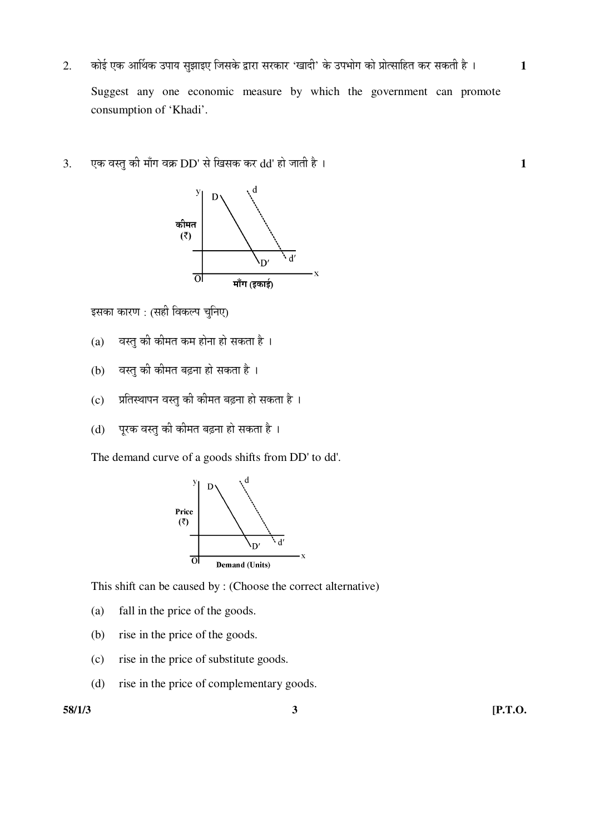- 2. कोई एक आर्थिक उपाय सुझाइए जिसके द्वारा सरकार 'खादी' के उपभोग को प्रोत्साहित कर सकती है । 1 Suggest any one economic measure by which the government can promote consumption of 'Khadi'.
- 3. ‹Ûú ¾ÖßÖã Ûúß ´ÖÖÑÝÖ ¾ÖÛÎú DD' ÃÖê ×ÜÖÃÖÛú Ûú¸ü dd' ÆüÖê •ÖÖŸÖß Æîü … **1**



इसका कारण : (सही विकल्प चुनिए)

- $(a)$  वस्तु की कीमत कम होना हो सकता है।
- (b) वस्तु की कीमत बढ़ना हो सकता है ।
- $(c)$  प्रतिस्थापन वस्तु की कीमत बढ़ना हो सकता है ।
- (d) पूरक वस्तु की कीमत बढ़ना हो सकता है।

The demand curve of a goods shifts from DD' to dd'.



This shift can be caused by : (Choose the correct alternative)

- (a) fall in the price of the goods.
- (b) rise in the price of the goods.
- (c) rise in the price of substitute goods.
- (d) rise in the price of complementary goods.

**58/1/3 3 [P.T.O.**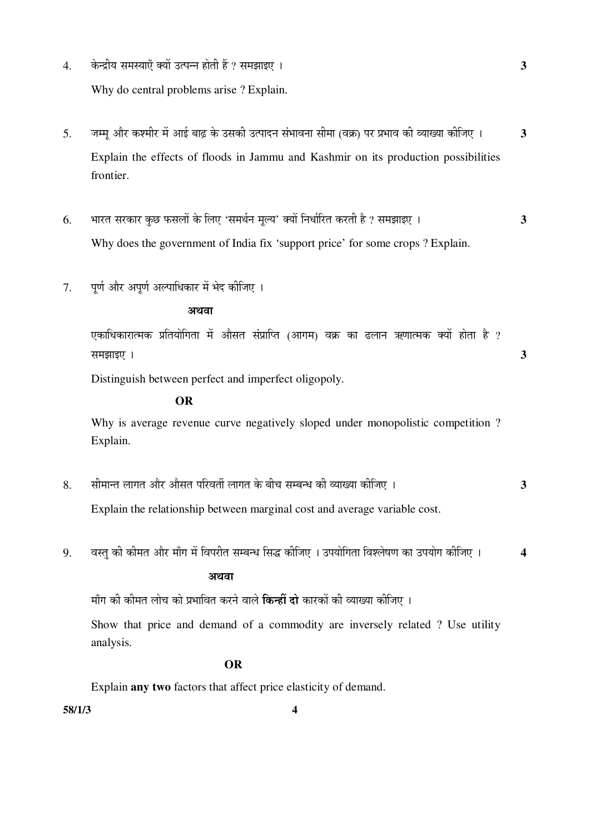- 4. Ûêú®¦üßµÖ ÃÖ´ÖõÖÖ‹Ñ ŒµÖÖë ˆŸ¯Ö®®Ö ÆüÖêŸÖß Æïü ? ÃÖ´Ö—ÖÖ‡‹ … **3**  Why do central problems arise ? Explain.
- 5. जम्म और कश्मीर में आई बाढ के उसकी उत्पादन संभावना सीमा (वक्र) पर प्रभाव की व्याख्या कीजिए । 3 Explain the effects of floods in Jammu and Kashmir on its production possibilities frontier.
- 6. ³ÖÖ¸üŸÖ ÃÖ¸üÛúÖ¸ü Ûãú"û ±úÃÖ»ÖÖë Ûêú ×»Ö‹ 'ÃÖ´Ö£ÖÔ®Ö ´Ö滵Ö' ŒµÖÖë ×®Ö¬ÖÖÔ׸üŸÖ Ûú¸üŸÖß Æîü ? ÃÖ´Ö—ÖÖ‡‹ … **3**  Why does the government of India fix 'support price' for some crops ? Explain.
- 7. पर्ण और अपर्ण अल्पाधिकार में भेद कीजिए ।

#### अथवा

एकाधिकारात्मक प्रतियोगिता में औसत संप्राप्ति (आगम) वक्र का ढलान ऋणात्मक क्यों होता है ?  $\overline{3}$ 

Distinguish between perfect and imperfect oligopoly.

#### **OR**

 Why is average revenue curve negatively sloped under monopolistic competition ? Explain.

8. सीमान्त लागत और औसत परिवर्ती लागत के बीच सम्बन्ध की व्याख्या कीजिए । **3** 

Explain the relationship between marginal cost and average variable cost.

9. वस्तु की कीमत और माँग में विपरीत सम्बन्ध सिद्ध कीजिए । उपयोगिता विश्लेषण का उपयोग कीजिए । 4

## $\mathcal{L}(\mathcal{L}(\mathcal{L}(\mathcal{L}(\mathcal{L}(\mathcal{L}(\mathcal{L}(\mathcal{L}(\mathcal{L}(\mathcal{L}(\mathcal{L}(\mathcal{L}(\mathcal{L}(\mathcal{L}(\mathcal{L}(\mathcal{L}(\mathcal{L}(\mathcal{L}(\mathcal{L}(\mathcal{L}(\mathcal{L}(\mathcal{L}(\mathcal{L}(\mathcal{L}(\mathcal{L}(\mathcal{L}(\mathcal{L}(\mathcal{L}(\mathcal{L}(\mathcal{L}(\mathcal{L}(\mathcal{L}(\mathcal{L}(\mathcal{L}(\mathcal{L}(\mathcal{L}(\mathcal{$

माँग की कीमत लोच को प्रभावित करने वाले **किन्हीं दो** कारकों की व्याख्या कीजिए ।

 Show that price and demand of a commodity are inversely related ? Use utility analysis.

#### **OR**

Explain **any two** factors that affect price elasticity of demand.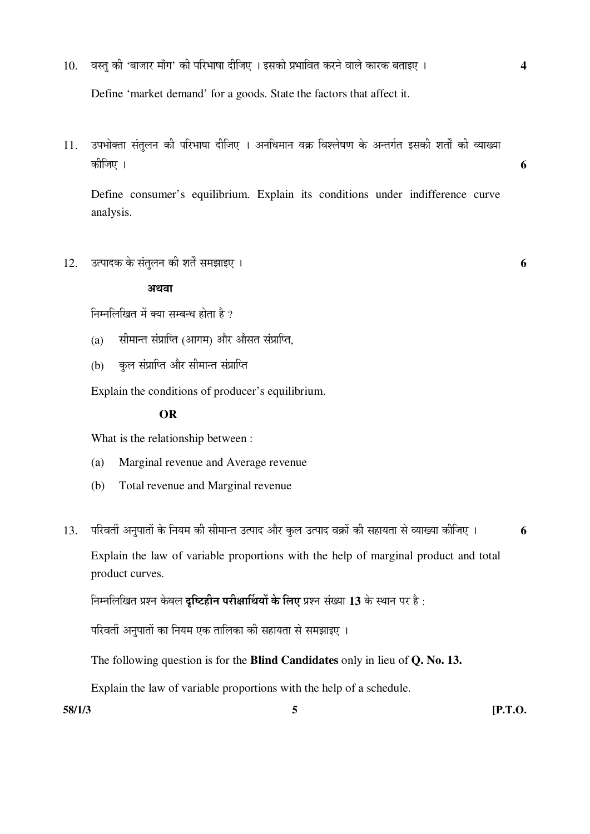10. वस्तु की 'बाजार माँग' की परिभाषा दीजिए । इसको प्रभावित करने वाले कारक बताइए । 4

Define 'market demand' for a goods. State the factors that affect it.

11. उपभोक्ता संतुलन की परिभाषा दीजिए । अनधिमान वक्र विश्लेषण के अन्तर्गत इसकी शर्तों की व्याख्या Ûúßו֋ … **6** 

 Define consumer's equilibrium. Explain its conditions under indifference curve analysis.

 $12.$   $\overline{3}$ त्पादक के संतुलन की शर्तें समझाइए ।  $\overline{6}$ 

#### अथवा

निम्नलिखित में क्या सम्बन्ध होता है ?

- $(a)$  सीमान्त संप्राप्ति (आगम) और औसत संप्राप्ति,
- (b) कुल संप्राप्ति और सीमान्त संप्राप्ति

Explain the conditions of producer's equilibrium.

#### **OR**

What is the relationship between :

- (a) Marginal revenue and Average revenue
- (b) Total revenue and Marginal revenue
- 13. परिवर्ती अनुपातों के नियम की सीमान्त उत्पाद और कुल उत्पाद वक्रों की सहायता से व्याख्या कीजिए । 6

 Explain the law of variable proportions with the help of marginal product and total product curves.

 $\hat{p}$ नम्नलिखित प्रश्न केवल **दृष्टिहीन परीक्षार्थियों के लिए** प्रश्न संख्या 13 के स्थान पर है :

परिवर्ती अनुपातों का नियम एक तालिका की सहायता से समझाइए ।

The following question is for the **Blind Candidates** only in lieu of **Q. No. 13.**

Explain the law of variable proportions with the help of a schedule.

**58/1/3 5 [P.T.O.**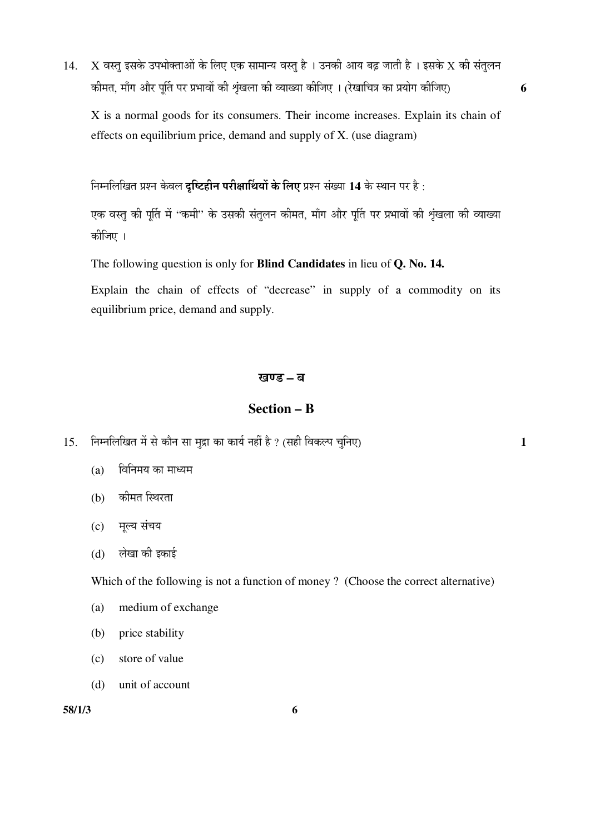$14. X$  वस्तु इसके उपभोक्ताओं के लिए एक सामान्य वस्तु है । उनकी आय बढ़ जाती है । इसके  $X$  की संतुलन Ûúß´ÖŸÖ, ´ÖÖÑÝÖ †Öî¸ü ¯ÖæÙŸÖ ¯Ö¸ü ¯ÖϳÖÖ¾ÖÖë Ûúß ÀÖéÓÜÖ»ÖÖ Ûúß ¾µÖÖܵÖÖ Ûúßו֋ … (¸êüÜÖÖ×"Ö¡Ö ÛúÖ ¯ÖϵÖÖêÝÖ Ûúßו֋) **6** 

 X is a normal goods for its consumers. Their income increases. Explain its chain of effects on equilibrium price, demand and supply of X. (use diagram)

निम्नलिखित प्रश्न केवल **दृष्टिहीन परीक्षार्थियों के लिए** प्रश्न संख्या 14 के स्थान पर है :

एक वस्तु की पुर्ति में ''कमी'' के उसकी संतुलन कीमत, माँग और पुर्ति पर प्रभावों की शृंखला की व्याख्या कोजिए ।

The following question is only for **Blind Candidates** in lieu of **Q. No. 14.** 

Explain the chain of effects of "decrease" in supply of a commodity on its equilibrium price, demand and supply.

#### खण्ड – **ब**

### **Section – B**

- 15. निम्नलिखित में से कौन सा मुद्रा का कार्य नहीं है ? (सही विकल्प चुनिए) 1
	- (a) विनिमय का माध्यम
	- (b) कीमत स्थिरता
	- (c) मल्य संचय
	- (d) लेखा की इकाई

Which of the following is not a function of money ? (Choose the correct alternative)

- (a) medium of exchange
- (b) price stability
- (c) store of value
- (d) unit of account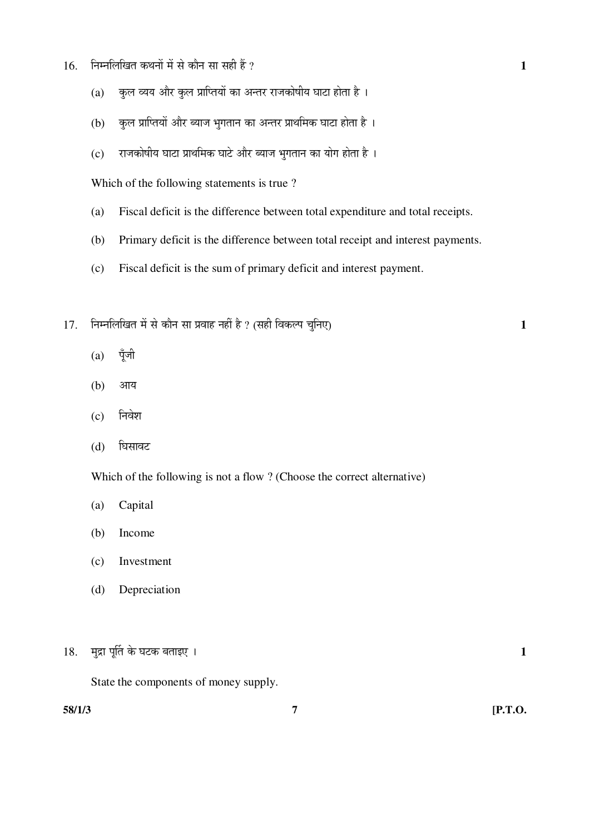- $16.$  निम्नलिखित कथनों में से कौन सा सही हैं ?  $\overline{1}$ 
	- (a) कुल व्यय और कुल प्राप्तियों का अन्तर राजकोषीय घाटा होता है।
	- (b) कुल प्राप्तियों और ब्याज भुगतान का अन्तर प्राथमिक घाटा होता है ।
	- $(c)$  राजकोषीय घाटा प्राथमिक घाटे और ब्याज भुगतान का योग होता है ।

Which of the following statements is true ?

- (a) Fiscal deficit is the difference between total expenditure and total receipts.
- (b) Primary deficit is the difference between total receipt and interest payments.
- (c) Fiscal deficit is the sum of primary deficit and interest payment.
- 17. ×®Ö´®Ö×»Ö×ÜÖŸÖ ´Öë ÃÖê ÛúÖî®Ö ÃÖÖ ¯ÖϾÖÖÆü ®ÖÆüà Æîü ? (ÃÖÆüß ×¾ÖÛú»¯Ö "Öã×®Ö‹) **1** 
	- $(a)$  पूँजी
	- (b) आय
	- (c) निवेश
	- (d) घिसावट

Which of the following is not a flow ? (Choose the correct alternative)

- (a) Capital
- (b) Income
- (c) Investment
- (d) Depreciation

 $18.$  मुद्रा पूर्ति के घटक बताइए ।  $1$ 

State the components of money supply.

**58/1/3 7 [P.T.O.**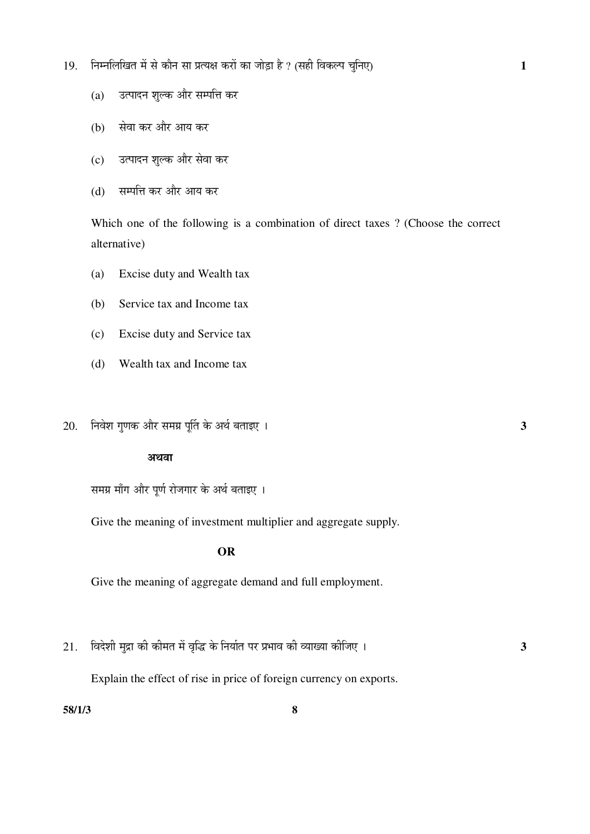- 19. निम्नलिखित में से कौन सा प्रत्यक्ष करों का जोड़ा है ? (सही विकल्प चुनिए) 1
	- (a) जिल्पादन शुल्क और सम्पत्ति कर
	- (b) सेवा कर और आय कर
	- (c) उत्पादन शुल्क और सेवा कर
	- (d) सम्पत्ति कर और आय कर

 Which one of the following is a combination of direct taxes ? (Choose the correct alternative)

- (a) Excise duty and Wealth tax
- (b) Service tax and Income tax
- (c) Excise duty and Service tax
- (d) Wealth tax and Income tax
- 20. ×®Ö¾Öê¿Ö ÝÖãÞÖÛú †Öî¸ü ÃÖ´ÖÝÖÏ ¯ÖæÙŸÖ Ûêú †£ÖÔ ²ÖŸÖÖ‡‹ … **3**

#### अथवा

समग्र माँग और पूर्ण रोजगार के अर्थ बताइए ।

Give the meaning of investment multiplier and aggregate supply.

#### **OR**

Give the meaning of aggregate demand and full employment.

 $21.$  विदेशी मुद्रा की कीमत में वृद्धि के निर्यात पर प्रभाव की व्याख्या कीजिए ।

Explain the effect of rise in price of foreign currency on exports.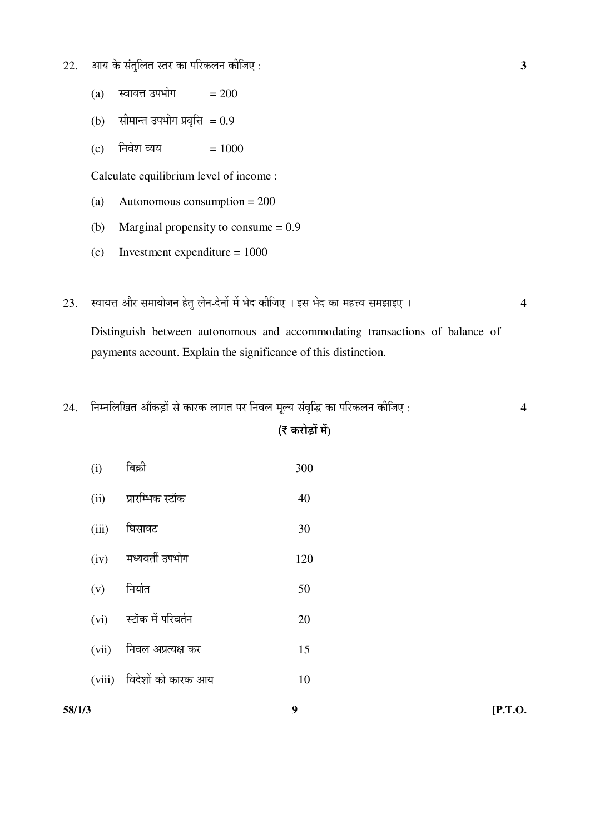- $22.$  ) आय के संतुलित स्तर का परिकलन कीजिए :  $\overline{\mathbf{3}}$ 
	- (a) स्वायत्त उपभोग  $= 200$
	- $(b)$  सीमान्त उपभोग प्रवृत्ति = 0.9
	- (c) निवेश व्यय  $= 1000$

Calculate equilibrium level of income :

- (a) Autonomous consumption = 200
- (b) Marginal propensity to consume = 0.9
- (c) Investment expenditure = 1000
- 23. þÖÖµÖ¢Ö †Öî¸ü ÃÖ´ÖÖµÖÖê•Ö®Ö ÆêüŸÖã »Öê®Ö-¤êü®ÖÖë ´Öë ³Öê¤ü Ûúßו֋ … ‡ÃÖ ³Öê¤ü ÛúÖ ´ÖÆü¢¾Ö ÃÖ´Ö—ÖÖ‡‹ … **4**

Distinguish between autonomous and accommodating transactions of balance of payments account. Explain the significance of this distinction.

 $24.$  निम्नलिखित आँकड़ों से कारक लागत पर निवल मूल्य संवृद्धि का परिकलन कीजिए :  $\,$ 

## ( $\bar{\tau}$  करोड़ों में)

| 58/1/3 |       |                           | 9   | [P.T.O. |
|--------|-------|---------------------------|-----|---------|
|        |       | (viii) विदेशों को कारक आय | 10  |         |
|        | (vii) | निवल अप्रत्यक्ष कर        | 15  |         |
|        | (vi)  | स्टॉक में परिवर्तन        | 20  |         |
|        | (v)   | निर्यात                   | 50  |         |
|        | (iv)  | मध्यवर्ती उपभोग           | 120 |         |
|        | (iii) | घिसावट                    | 30  |         |
|        | (ii)  | प्रारम्भिक स्टॉक          | 40  |         |
|        | (i)   | बिक्री                    | 300 |         |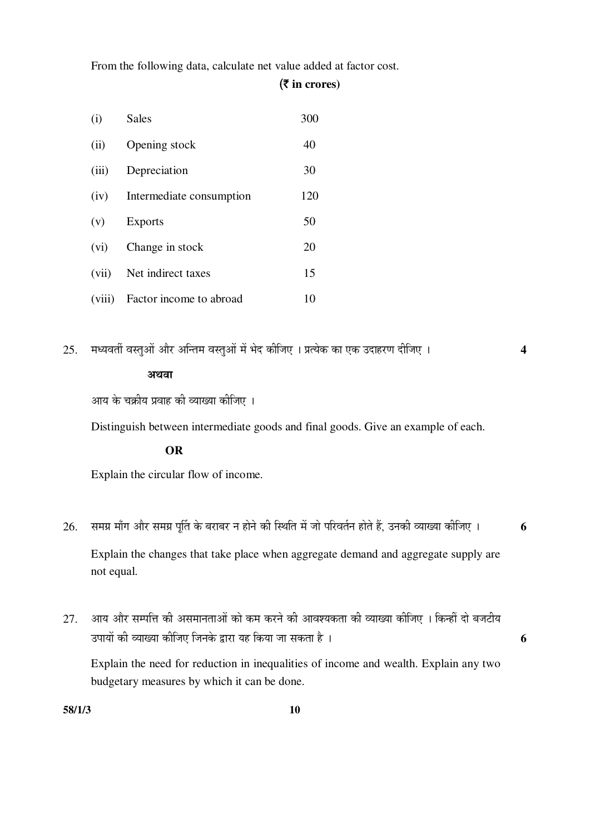From the following data, calculate net value added at factor cost.

#### (` **in crores)**

| (i)   | <b>Sales</b>                   | 300 |
|-------|--------------------------------|-----|
| (ii)  | Opening stock                  | 40  |
| (iii) | Depreciation                   | 30  |
| (iv)  | Intermediate consumption       | 120 |
| (v)   | <b>Exports</b>                 | 50  |
| (vi)  | Change in stock                | 20  |
|       | (vii) Net indirect taxes       | 15  |
|       | (viii) Factor income to abroad | 10  |

 $25.$  मध्यवर्ती वस्तुओं और अन्तिम वस्तुओं में भेद कीजिए । प्रत्येक का एक उदाहरण दीजिए । 4 अथवा

आय के चक्रीय प्रवाह की व्याख्या कीजिए ।

Distinguish between intermediate goods and final goods. Give an example of each.

### **OR**

Explain the circular flow of income.

- $26$ . समग्र माँग और समग्र पर्ति के बराबर न होने की स्थिति में जो परिवर्तन होते हैं, उनकी व्याख्या कीजिए । **6**  Explain the changes that take place when aggregate demand and aggregate supply are not equal.
- $27.$  ) आय और सम्पत्ति की असमानताओं को कम करने की आवश्यकता की व्याख्या कीजिए । किन्हीं दो बजटीय ˆ¯ÖÖµÖÖë Ûúß ¾µÖÖܵÖÖ Ûúßו֋ ו֮ÖÛêú «üÖ¸üÖ µÖÆü ×ÛúµÖÖ •ÖÖ ÃÖÛúŸÖÖ Æîü … **6**

 Explain the need for reduction in inequalities of income and wealth. Explain any two budgetary measures by which it can be done.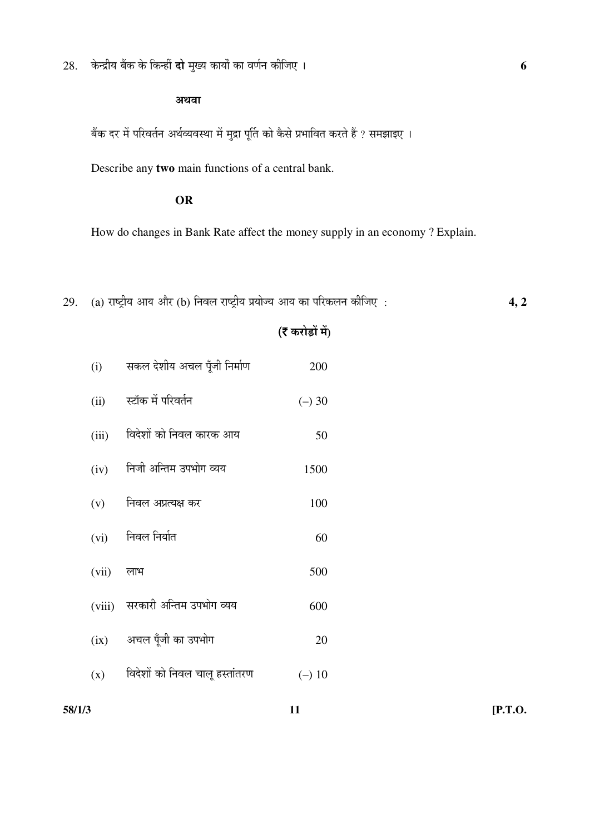$28.$  केन्द्रीय बैंक के किन्हीं **दो** मुख्य कार्यों का वर्णन कीजिए ।

#### अथवा

ँबेंक दर में परिवर्तन अर्थव्यवस्था में मुद्रा पूर्ति को कैसे प्रभावित करते हैं ? समझाइए ।

Describe any **two** main functions of a central bank.

#### **OR**

How do changes in Bank Rate affect the money supply in an economy ? Explain.

 $29.$  (a) राष्ट्रीय आय और (b) निवल राष्ट्रीय प्रयोज्य आय का परिकलन कीजिए :  $\overline{4,2}$ 

## ( $\bar{\epsilon}$  करोड़ों में)

 $(i)$  सकल देशीय अचल पूँजी निर्माण  $(ii)$  स्टॉक में परिवर्तन  $(-)$  $(iii)$  विदेशों को निवल कारक आय  $(iv)$  निजी अन्तिम उपभोग व्यय $(v)$  निवल अप्रत्यक्ष कर  $(vi)$  निवल निर्यात  $(vii)$  लाभ 500  $(viii)$  सरकारी अन्तिम उपभोग व्यय $(ix)$  अचल पूँजी का उपभोग  $(x)$  विदेशों को निवल चालू हस्तांतरण  $(-)$